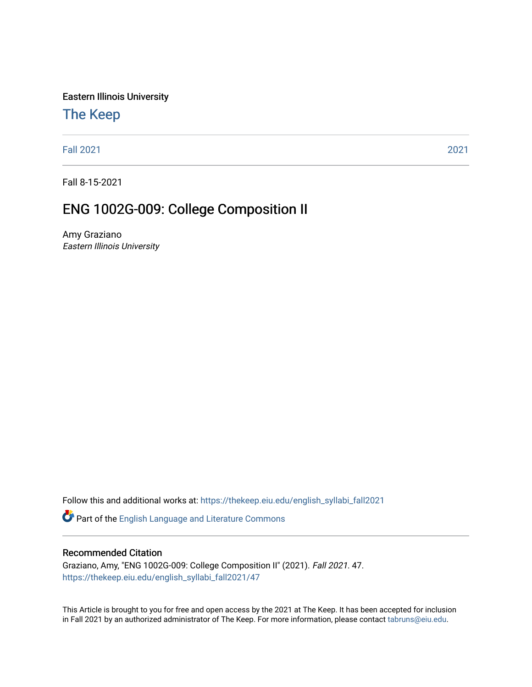Eastern Illinois University

## [The Keep](https://thekeep.eiu.edu/)

[Fall 2021](https://thekeep.eiu.edu/english_syllabi_fall2021) [2021](https://thekeep.eiu.edu/english_syllabi2021) 

Fall 8-15-2021

# ENG 1002G-009: College Composition II

Amy Graziano Eastern Illinois University

Follow this and additional works at: [https://thekeep.eiu.edu/english\\_syllabi\\_fall2021](https://thekeep.eiu.edu/english_syllabi_fall2021?utm_source=thekeep.eiu.edu%2Fenglish_syllabi_fall2021%2F47&utm_medium=PDF&utm_campaign=PDFCoverPages) 

Part of the [English Language and Literature Commons](http://network.bepress.com/hgg/discipline/455?utm_source=thekeep.eiu.edu%2Fenglish_syllabi_fall2021%2F47&utm_medium=PDF&utm_campaign=PDFCoverPages)

#### Recommended Citation

Graziano, Amy, "ENG 1002G-009: College Composition II" (2021). Fall 2021. 47. [https://thekeep.eiu.edu/english\\_syllabi\\_fall2021/47](https://thekeep.eiu.edu/english_syllabi_fall2021/47?utm_source=thekeep.eiu.edu%2Fenglish_syllabi_fall2021%2F47&utm_medium=PDF&utm_campaign=PDFCoverPages)

This Article is brought to you for free and open access by the 2021 at The Keep. It has been accepted for inclusion in Fall 2021 by an authorized administrator of The Keep. For more information, please contact [tabruns@eiu.edu](mailto:tabruns@eiu.edu).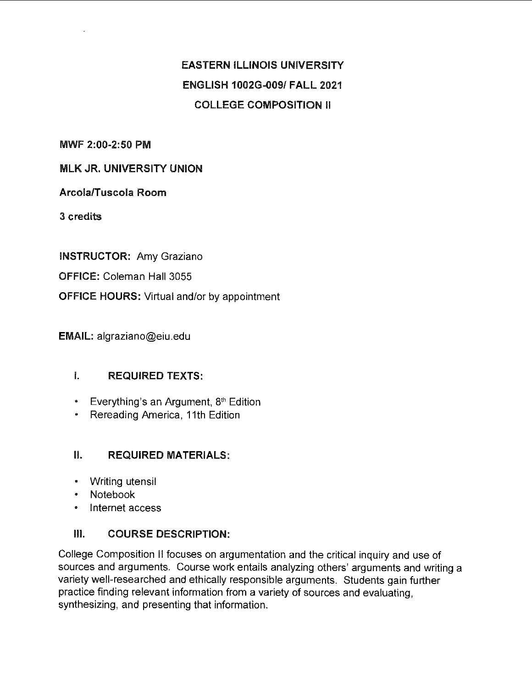# **EASTERN ILLINOIS UNIVERSITY ENGLISH 1002G-009/ FALL 2021 COLLEGE COMPOSITION** II

**MWF 2:00-2:50 PM** 

#### **MLK JR. UNIVERSITY UNION**

#### **Arcola/Tuscola Room**

**3 credits** 

**INSTRUCTOR:** Amy Graziano

**OFFICE:** Coleman Hall 3055

**OFFICE HOURS:** Virtual and/or by appointment

**EMAIL:** algraziano@eiu.edu

#### I. **REQUIRED TEXTS:**

- Everything's an Argument,  $8<sup>th</sup>$  Edition
- Rereading America, 11th Edition

#### II. **REQUIRED MATERIALS:**

- Writing utensil
- Notebook
- Internet access

#### Ill. **COURSE DESCRIPTION:**

College Composition II focuses on argumentation and the critical inquiry and use of sources and arguments. Course work entails analyzing others' arguments and writing a variety well-researched and ethically responsible arguments. Students gain further practice finding relevant information from a variety of sources and evaluating, synthesizing, and presenting that information.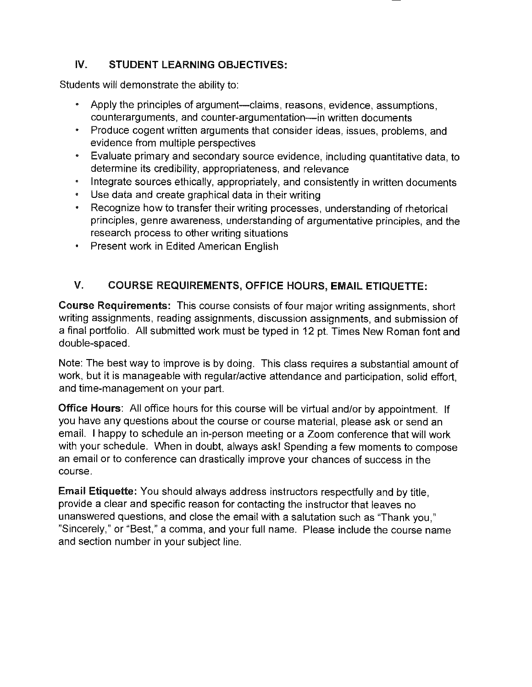### **IV. STUDENT LEARNING OBJECTIVES:**

Students will demonstrate the ability to:

- Apply the principles of argument—claims, reasons, evidence, assumptions, counterarguments, and counter-argumentation-in written documents
- Produce cogent written arguments that consider ideas, issues, problems, and evidence from multiple perspectives
- Evaluate primary and secondary source evidence, including quantitative data, to determine its credibility, appropriateness, and relevance
- Integrate sources ethically, appropriately, and consistently in written documents
- Use data and create graphical data in their writing
- Recognize how to transfer their writing processes, understanding of rhetorical principles, genre awareness, understanding of argumentative principles, and the research process to other writing situations
- Present work in Edited American English

### **V. COURSE REQUIREMENTS, OFFICE HOURS, EMAIL ETIQUETTE:**

**Course Requirements:** This course consists of four major writing assignments, short writing assignments, reading assignments, discussion assignments, and submission of a final portfolio. All submitted work must be typed in 12 pt. Times New Roman font and double-spaced.

Note: The best way to improve is by doing. This class requires a substantial amount of work, but it is manageable with regular/active attendance and participation, solid effort, and time-management on your part.

**Office Hours:** All office hours for this course will be virtual and/or by appointment. If you have any questions about the course or course material, please ask or send an email. I happy to schedule an in-person meeting or a Zoom conference that will work with your schedule. When in doubt, always ask! Spending a few moments to compose an email or to conference can drastically improve your chances of success in the course.

**Email Etiquette:** You should always address instructors respectfully and by title, provide a clear and specific reason for contacting the instructor that leaves no unanswered questions, and close the email with a salutation such as "Thank you," "Sincerely," or "Best," a comma, and your full name. Please include the course name and section number in your subject line.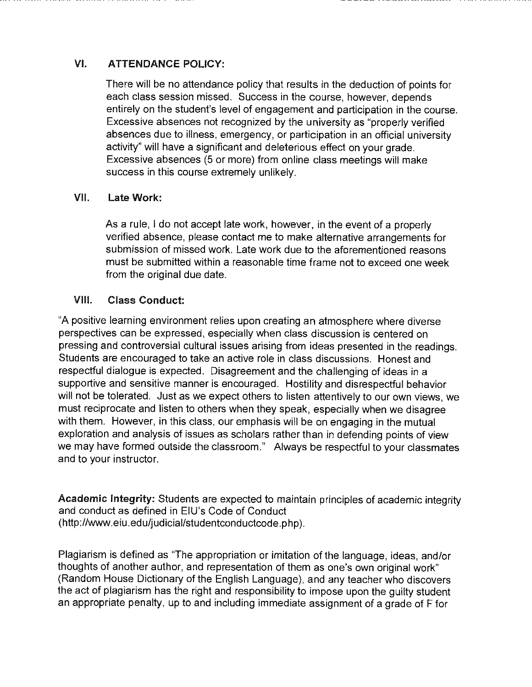### VI. **ATTENDANCE POLICY:**

There will be no attendance policy that results in the deduction of points for each class session missed. Success in the course, however, depends entirely on the student's level of engagement and participation in the course. Excessive absences not recognized by the university as "properly verified absences due to illness, emergency, or participation in an official university activity" will have a significant and deleterious effect on your grade. Excessive absences (5 or more) from online class meetings will make success in this course extremely unlikely.

#### **VII. Late Work:**

As a rule, I do not accept late work, however, in the event of a properly verified absence, please contact me to make alternative arrangements for submission of missed work. Late work due to the aforementioned reasons must be submitted within a reasonable time frame not to exceed one week from the original due date.

#### **VIII. Class Conduct:**

"A positive learning environment relies upon creating an atmosphere where diverse perspectives can be expressed, especially when class discussion is centered on pressing and controversial cultural issues arising from ideas presented in the readings. Students are encouraged to take an active role in class discussions. Honest and respectful dialogue is expected. Disagreement and the challenging of ideas in a supportive and sensitive manner is encouraged. Hostility and disrespectful behavior will not be tolerated. Just as we expect others to listen attentively to our own views, we must reciprocate and listen to others when they speak, especially when we disagree with them. However, in this class, our emphasis will be on engaging in the mutual exploration and analysis of issues as scholars rather than in defending points of view we may have formed outside the classroom." Always be respectful to your classmates and to your instructor.

**Academic Integrity:** Students are expected to maintain principles of academic integrity and conduct as defined in EIU's Code of Conduct (http://www.eiu .ed u/judicial/studentconductcode. php ).

Plagiarism is defined as "The appropriation or imitation of the language, ideas, and/or thoughts of another author, and representation of them as one's own original work" (Random House Dictionary of the English Language), and any teacher who discovers the act of plagiarism has the right and responsibility to impose upon the guilty student an appropriate penalty, up to and including immediate assignment of a grade of F for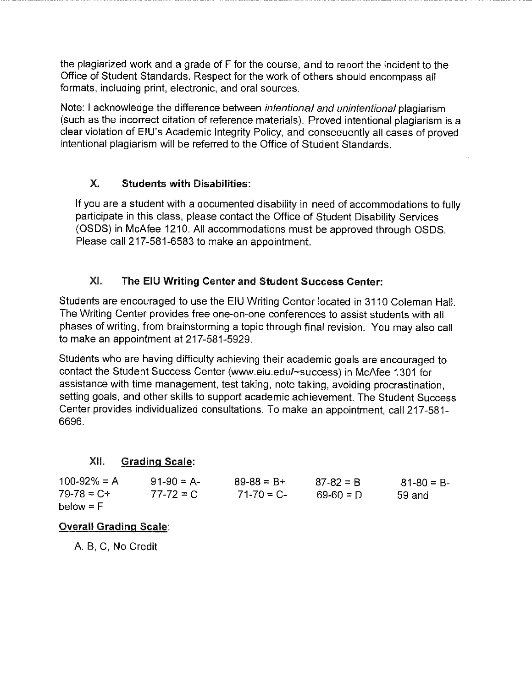the plagiarized work and a grade of F for the course, and to report the incident to the Office of Student Standards. Respect for the work of others should encompass all formats, including print, electronic, and oral sources.

Note: I acknowledge the difference between *intentional and unintentional* plagiarism (such as the incorrect citation of reference materials). Proved intentional plagiarism is a clear violation of EIU's Academic Integrity Policy, and consequently all cases of proved intentional plagiarism will be referred to the Office of Student Standards.

### X. **Students with Disabilities:**

If you are a student with a documented disability in need of accommodations to fully participate in this class, please contact the Office of Student Disability Services (OSDS) in McAfee 1210. All accommodations must be approved through OSDS. Please call 217-581-6583 to make an appointment.

### XI. The EIU Writing Center and Student Success Center:

Students are encouraged to use the EIU Writing Center located in 3110 Coleman Hall. The Writing Center provides free one-on-one conferences to assist students with all phases of writing, from brainstorming a topic through final revision. You may also call to make an appointment at 217-581-5929.

Students who are having difficulty achieving their academic goals are encouraged to contact the Student Success Center (www.eiu.edu/~success) in McAfee 1301 for assistance with time management, test taking, note taking, avoiding procrastination, setting goals, and other skills to support academic achievement. The Student Success Center provides individualized consultations. To make an appointment, call 217-581- 6696.

#### XII. **Grading Scale:**

| $100 - 92\% = A$ | $91-90 = A$   | $89 - 88 = B +$ | $87 - 82 = B$ | $81 - 80 = B$ |
|------------------|---------------|-----------------|---------------|---------------|
| $79-78 = C +$    | $77 - 72 = C$ | $71 - 70 = C$   | $69-60 = D$   | 59 and        |
| $below = F$      |               |                 |               |               |

#### **Overall Grading Scale:**

A. B, C, No Credit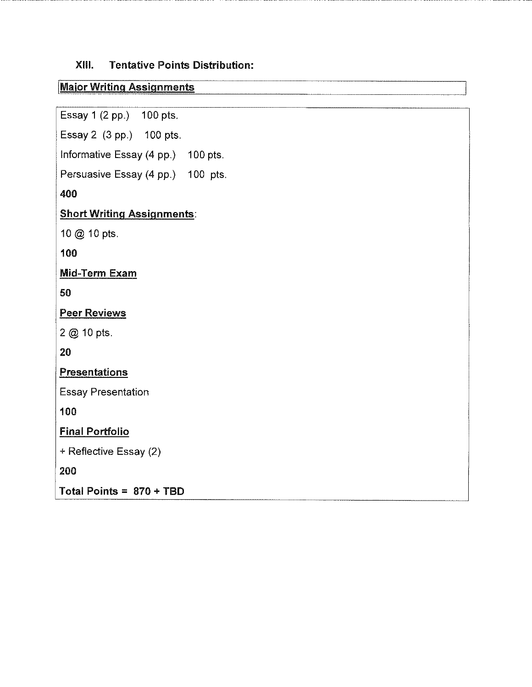#### **XIII. Tentative Points Distribution:**

### **IMaior Writing Assignments**

Essay 1 (2 pp.) 100 pts.

Essay 2 (3 pp.) 100 pts.

Informative Essay (4 pp.) 100 pts.

Persuasive Essay (4 pp.) 100 pts.

**400** 

#### **Short Writing Assignments:**

10@ 10 pts.

**100** 

**Mid-Term Exam** 

**50** 

**Peer Reviews** 

2@10pts.

**20** 

**Presentations** 

Essay Presentation

**100** 

**Final Portfolio** 

+ Reflective Essay (2)

**200** 

**Total Points= 870** + **TBD**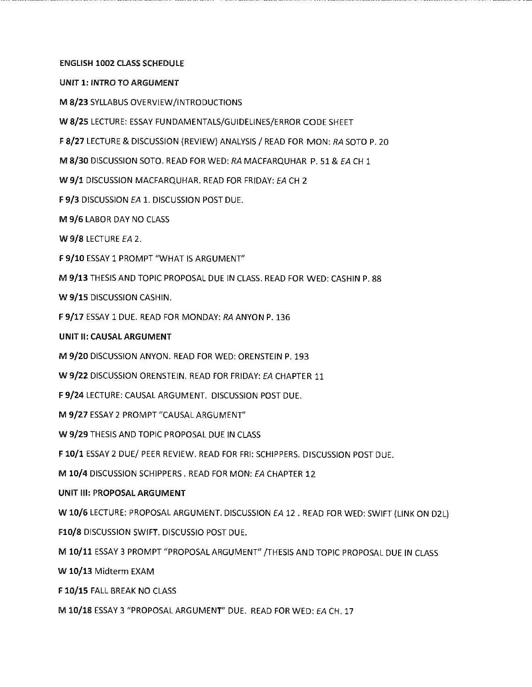#### **ENGLISH 1002 CLASS SCHEDULE**

**UNIT 1: INTRO TO ARGUMENT** 

**M 8/23** SYLLABUS OVERVIEW/INTRODUCTIONS

**W 8/25** LECTURE: ESSAY FUNDAMENTALS/GUIDELINES/ERROR CODE SHEET

F **8/27** LECTURE & DISCUSSION (REVIEW) ANALYSIS/ READ FOR MON: RA SOTO P. 20

**M 8/30** DISCUSSION SOTO. READ FOR WED: RA MACFARQUHAR P. 51 & EA CH 1

**W 9/1** DISCUSSION MACFARQUHAR. READ FOR FRIDAY: EA CH 2

F 9/3 DISCUSSION EA 1. DISCUSSION POST DUE.

**M 9/6** LABOR DAY NO CLASS

**W 9/8** LECTURE EA 2.

**F 9/10** ESSAY 1 PROMPT "WHAT IS ARGUMENT"

**M 9/13** THESIS AND TOPIC PROPOSAL DUE IN CLASS. READ FOR WED: CASHIN P. 88

**W 9/15** DISCUSSION CASHIN.

**F 9/17** ESSAY 1 DUE. READ FOR MONDAY: RA ANYON P. 136

#### **UNIT** II: **CAUSAL ARGUMENT**

**M 9/20** DISCUSSION ANYON. READ FOR WED: ORENSTEIN P. 193

**W 9/22** DISCUSSION ORENSTEIN. READ FOR FRIDAY: EA CHAPTER 11

**F 9/24** LECTURE: CAUSAL ARGUMENT. DISCUSSION POST DUE.

**M 9/27** ESSAY 2 PROMPT "CAUSAL ARGUMENT"

**W 9/29** THESIS AND TOPIC PROPOSAL DUE IN CLASS

**F 10/1** ESSAY 2 DUE/ PEER REVIEW. READ FOR FRI: SCHIPPERS. DISCUSSION POST DUE.

**M 10/4** DISCUSSION SCHIPPERS. READ FOR MON: EA CHAPTER 12

#### UNIT Ill: PROPOSAL ARGUMENT

W 10/6 LECTURE: PROPOSAL ARGUMENT. DISCUSSION EA 12. READ FOR WED: SWIFT (LINK ON D2L)

Fl0/8 DISCUSSION SWIFT. DISCUSSIO POST DUE.

M 10/11 ESSAY 3 PROMPT "PROPOSAL ARGUMENT" /THESIS AND TOPIC PROPOSAL DUE IN CLASS

W 10/13 Midterm EXAM

F 10/15 FALL BREAK NO CLASS

M 10/18 ESSAY 3 "PROPOSAL ARGUMENT" DUE. READ FOR WED: EA CH. 17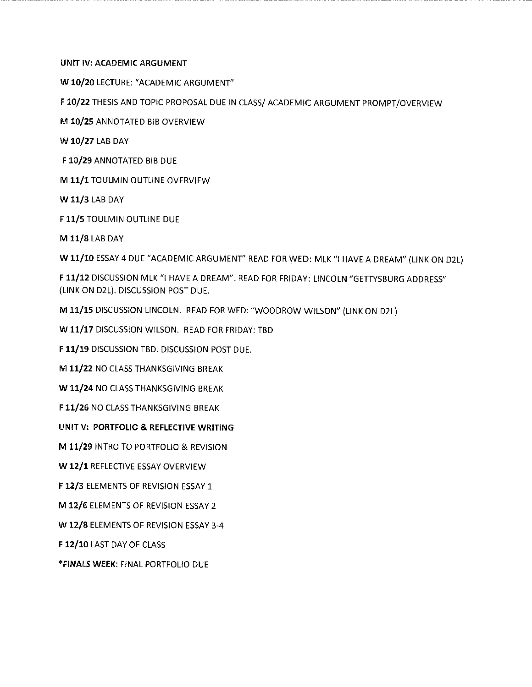#### **UNIT IV: ACADEMIC ARGUMENT**

**W 10/20** LECTURE: "ACADEMIC ARGUMENT"

**F 10/22** THESIS AND TOPIC PROPOSAL DUE IN CLASS/ ACADEMIC ARGUMENT PROMPT/OVERVIEW

**M 10/25** ANNOTATED BIB OVERVIEW

**W 10/27** LAB DAY

**F 10/29** ANNOTATED BIB DUE

**M 11/1** TOULMIN OUTLINE OVERVIEW

W 11/3 LAB DAY

F 11/5 TOULMIN OUTLINE DUE

**M 11/8** LAB DAY

**W 11/10** ESSAY 4 DUE "ACADEMIC ARGUMENT" READ FOR WED: MLK "I HAVE A DREAM" (LINK ON D2L)

F **11/12** DISCUSSION MLK "I HAVE A DREAM". READ FOR FRIDAY: LINCOLN "GETTYSBURG ADDRESS" (LINK ON D2L). DISCUSSION POST DUE.

**M 11/15** DISCUSSION LINCOLN. READ FOR WED: "WOODROW WILSON" (LINK ON D2L)

W 11/17 DISCUSSION WILSON. READ FOR FRIDAY: TBD

F 11/19 DISCUSSION TBD. DISCUSSION POST DUE.

M 11/22 NO CLASS THANKSGIVING BREAK

W 11/24 NO CLASS THANKSGIVING BREAK

F 11/26 NO CLASS THANKSGIVING BREAK

**UNIT V: PORTFOLIO** & **REFLECTIVE WRITING** 

**M 11/29** INTRO TO PORTFOLIO & REVISION

**W 12/1** REFLECTIVE ESSAY OVERVIEW

**F 12/3** ELEMENTS OF REVISION ESSAY 1

**M 12/6** ELEMENTS OF REVISION ESSAY 2

**W 12/8** ELEMENTS OF REVISION ESSAY 3-4

F **12/10** LAST DAY OF CLASS

**\*FINALS WEEK:** FINAL PORTFOLIO DUE